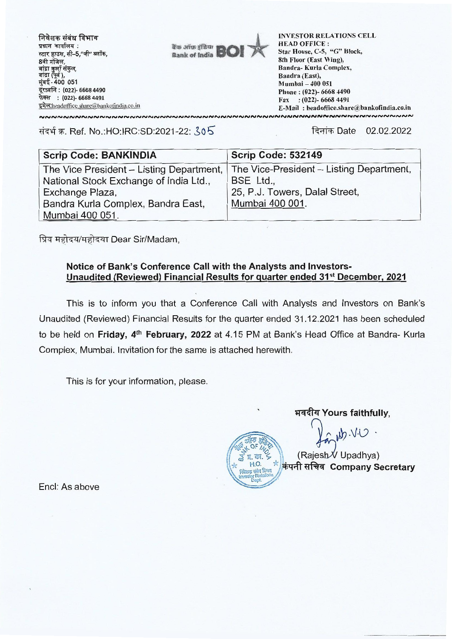

संदर्भ क्र. Ref. No.:HO:IRC:SD:2021-22: 305

दिनांक Date 02.02.2022

| <b>Scrip Code: BANKINDIA</b>             | <b>Scrip Code: 532149</b>                |
|------------------------------------------|------------------------------------------|
| The Vice President - Listing Department, | The Vice-President - Listing Department, |
| National Stock Exchange of India Ltd.,   | BSE Ltd.,                                |
| Exchange Plaza,                          | 25, P.J. Towers, Dalal Street,           |
| Bandra Kurla Complex, Bandra East,       | Mumbai 400 001.                          |
| Mumbai 400 051.                          |                                          |

प्रिय महोदय/महोदया Dear Sir/Madam,

### Notice of Bank's Conference Call with the Analysts and Investors-Unaudited (Reviewed) Financial Results for quarter ended 31<sup>st</sup> December, 2021

This is to inform you that a Conference Call with Analysts and Investors on Bank's Unaudited (Reviewed) Financial Results for the quarter ended 31.12.2021 has been scheduled to be held on Friday, 4<sup>th</sup> February, 2022 at 4.15 PM at Bank's Head Office at Bandra- Kurla Complex, Mumbai. Invitation for the same is attached herewith.

This is for your information, please.

भवदीय Yours faithfully,

 $UV.$ Cly

(Rajesh V Upadhya) कंपनी सचिव Company Secretary

Encl: As above